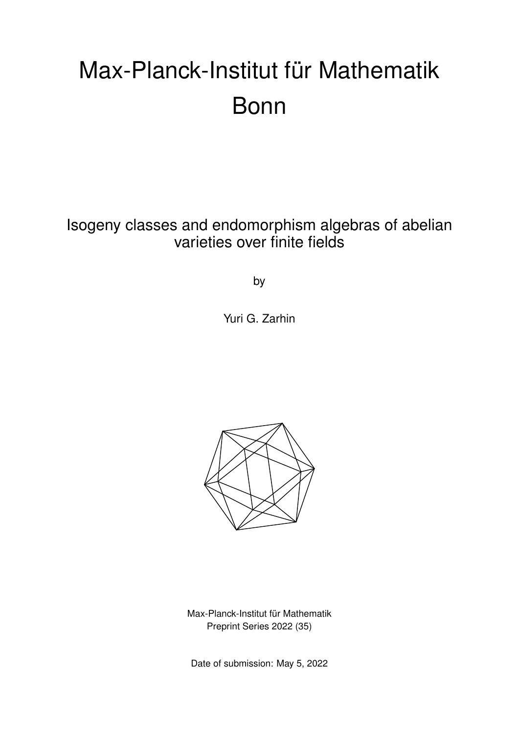# Max-Planck-Institut für Mathematik Bonn

Isogeny classes and endomorphism algebras of abelian varieties over finite fields

by

Yuri G. Zarhin



Max-Planck-Institut für Mathematik Preprint Series 2022 (35)

Date of submission: May 5, 2022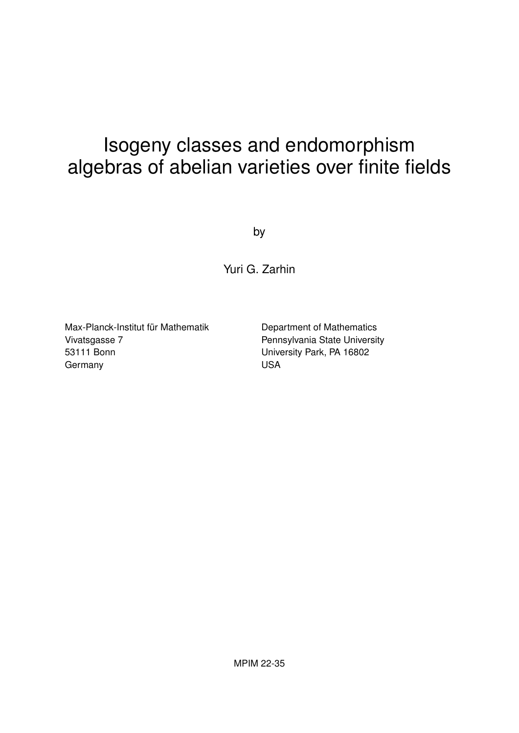# Isogeny classes and endomorphism algebras of abelian varieties over finite fields

by

Yuri G. Zarhin

Max-Planck-Institut für Mathematik Vivatsgasse 7 53111 Bonn **Germany** 

Department of Mathematics Pennsylvania State University University Park, PA 16802 USA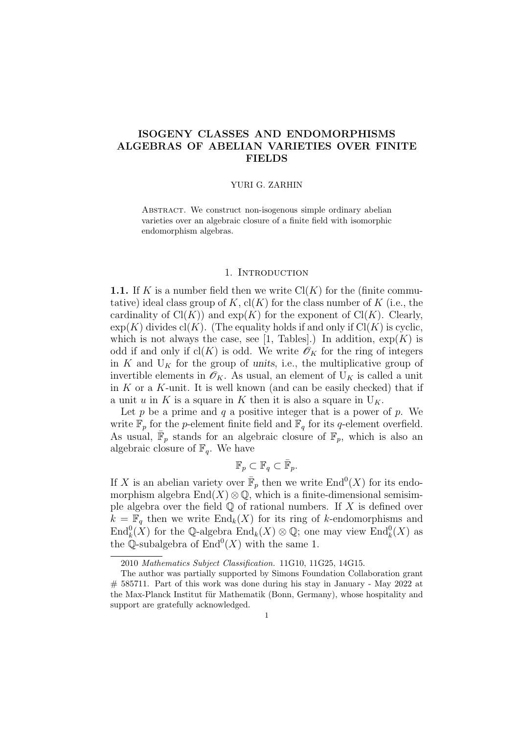# ISOGENY CLASSES AND ENDOMORPHISMS ALGEBRAS OF ABELIAN VARIETIES OVER FINITE FIELDS

#### YURI G. ZARHIN

ABSTRACT. We construct non-isogenous simple ordinary abelian varieties over an algebraic closure of a finite field with isomorphic endomorphism algebras.

# 1. INTRODUCTION

**1.1.** If K is a number field then we write  $Cl(K)$  for the (finite commutative) ideal class group of K,  $\text{cl}(K)$  for the class number of K (i.e., the cardinality of  $Cl(K)$  and  $exp(K)$  for the exponent of  $Cl(K)$ . Clearly,  $\exp(K)$  divides  $\text{cl}(K)$ . (The equality holds if and only if  $\text{Cl}(K)$  is cyclic, which is not always the case, see [1, Tables].) In addition,  $\exp(K)$  is odd if and only if  $\text{cl}(K)$  is odd. We write  $\mathscr{O}_K$  for the ring of integers in K and  $U_K$  for the group of units, i.e., the multiplicative group of invertible elements in  $\mathscr{O}_K$ . As usual, an element of  $U_K$  is called a unit in  $K$  or a  $K$ -unit. It is well known (and can be easily checked) that if a unit u in K is a square in K then it is also a square in  $U_K$ .

Let p be a prime and q a positive integer that is a power of p. We write  $\mathbb{F}_p$  for the p-element finite field and  $\mathbb{F}_q$  for its q-element overfield. As usual,  $\overline{\mathbb{F}}_p$  stands for an algebraic closure of  $\overline{\mathbb{F}}_p$ , which is also an algebraic closure of  $\mathbb{F}_q$ . We have

$$
\mathbb{F}_p \subset \mathbb{F}_q \subset \bar{\mathbb{F}}_p.
$$

If X is an abelian variety over  $\bar{\mathbb{F}}_p$  then we write  $\text{End}^0(X)$  for its endomorphism algebra  $\text{End}(X) \otimes \mathbb{Q}$ , which is a finite-dimensional semisimple algebra over the field  $\mathbb Q$  of rational numbers. If X is defined over  $k = \mathbb{F}_q$  then we write  $\text{End}_k(X)$  for its ring of k-endomorphisms and  $\text{End}_k^0(X)$  for the Q-algebra  $\text{End}_k(X) \otimes \mathbb{Q}$ ; one may view  $\text{End}_k^0(X)$  as the Q-subalgebra of  $\text{End}^0(X)$  with the same 1.

<sup>2010</sup> Mathematics Subject Classification. 11G10, 11G25, 14G15.

The author was partially supported by Simons Foundation Collaboration grant # 585711. Part of this work was done during his stay in January - May 2022 at the Max-Planck Institut für Mathematik (Bonn, Germany), whose hospitality and support are gratefully acknowledged.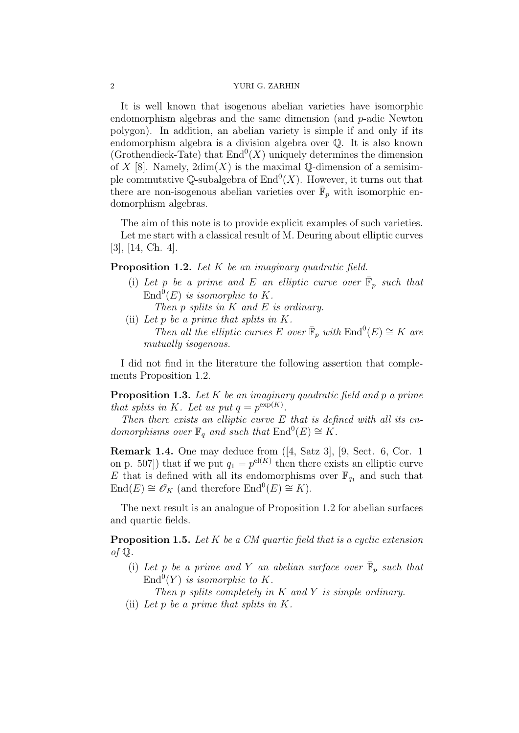It is well known that isogenous abelian varieties have isomorphic endomorphism algebras and the same dimension (and p-adic Newton polygon). In addition, an abelian variety is simple if and only if its endomorphism algebra is a division algebra over Q. It is also known (Grothendieck-Tate) that  $\text{End}^0(X)$  uniquely determines the dimension of X [8]. Namely,  $2dim(X)$  is the maximal Q-dimension of a semisimple commutative Q-subalgebra of  $\text{End}^0(X)$ . However, it turns out that there are non-isogenous abelian varieties over  $\bar{\mathbb{F}}_p$  with isomorphic endomorphism algebras.

The aim of this note is to provide explicit examples of such varieties. Let me start with a classical result of M. Deuring about elliptic curves [3], [14, Ch. 4].

**Proposition 1.2.** Let  $K$  be an imaginary quadratic field.

- (i) Let p be a prime and E an elliptic curve over  $\overline{\mathbb{F}}_p$  such that  $\text{End}^0(E)$  is isomorphic to K.
	- Then p splits in K and E is ordinary.
- (ii) Let p be a prime that splits in K. Then all the elliptic curves E over  $\overline{\mathbb{F}}_p$  with  $\text{End}^0(E) \cong K$  are mutually isogenous.

I did not find in the literature the following assertion that complements Proposition 1.2.

**Proposition 1.3.** Let K be an imaginary quadratic field and p a prime that splits in K. Let us put  $q = p^{\exp(K)}$ .

Then there exists an elliptic curve  $E$  that is defined with all its endomorphisms over  $\mathbb{F}_q$  and such that  $\text{End}^0(E) \cong K$ .

Remark 1.4. One may deduce from ([4, Satz 3], [9, Sect. 6, Cor. 1 on p. 507]) that if we put  $q_1 = p^{cl(K)}$  then there exists an elliptic curve E that is defined with all its endomorphisms over  $\mathbb{F}_{q_1}$  and such that  $\text{End}(E) \cong \mathscr{O}_K$  (and therefore  $\text{End}^0(E) \cong K$ ).

The next result is an analogue of Proposition 1.2 for abelian surfaces and quartic fields.

**Proposition 1.5.** Let  $K$  be a  $CM$  quartic field that is a cyclic extension of  $\mathbb Q$ .

(i) Let p be a prime and Y an abelian surface over  $\overline{\mathbb{F}}_p$  such that  $\text{End}^0(Y)$  is isomorphic to K.

Then p splits completely in K and Y is simple ordinary.

(ii) Let p be a prime that splits in K.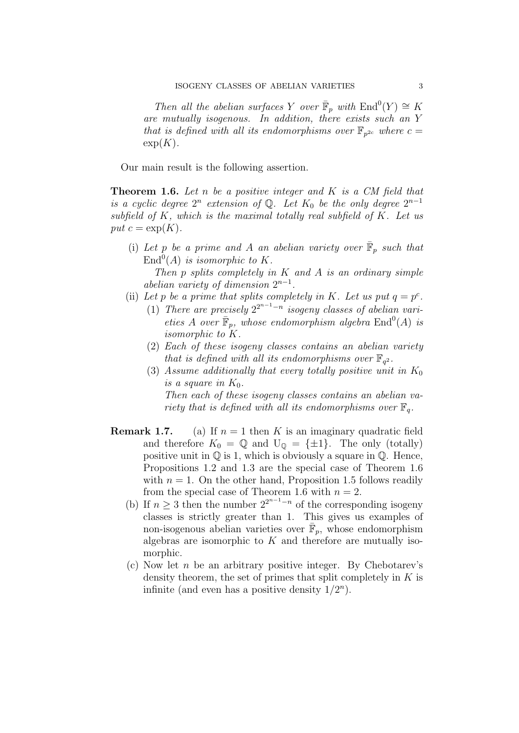Then all the abelian surfaces Y over  $\overline{\mathbb{F}}_p$  with  $\text{End}^0(Y) \cong K$ are mutually isogenous. In addition, there exists such an Y that is defined with all its endomorphisms over  $\mathbb{F}_{p^{2c}}$  where  $c=$  $\exp(K)$ .

Our main result is the following assertion.

**Theorem 1.6.** Let n be a positive integer and K is a CM field that is a cyclic degree  $2^n$  extension of Q. Let  $K_0$  be the only degree  $2^{n-1}$ subfield of  $K$ , which is the maximal totally real subfield of  $K$ . Let us put  $c = \exp(K)$ .

(i) Let p be a prime and A an abelian variety over  $\overline{\mathbb{F}}_p$  such that  $\text{End}^0(A)$  is isomorphic to K.

Then p splits completely in  $K$  and  $A$  is an ordinary simple abelian variety of dimension  $2^{n-1}$ .

- (ii) Let p be a prime that splits completely in K. Let us put  $q = p^c$ .
	- (1) There are precisely  $2^{2^{n-1}-n}$  isogeny classes of abelian varieties A over  $\overline{\mathbb{F}}_p$ , whose endomorphism algebra  $\text{End}^0(A)$  is isomorphic to K.
	- (2) Each of these isogeny classes contains an abelian variety that is defined with all its endomorphisms over  $\mathbb{F}_{q^2}$ .
	- (3) Assume additionally that every totally positive unit in  $K_0$ is a square in  $K_0$ . Then each of these isogeny classes contains an abelian variety that is defined with all its endomorphisms over  $\mathbb{F}_q$ .
- **Remark 1.7.** (a) If  $n = 1$  then K is an imaginary quadratic field and therefore  $K_0 = \mathbb{Q}$  and  $U_{\mathbb{Q}} = {\pm 1}$ . The only (totally) positive unit in  $\mathbb Q$  is 1, which is obviously a square in  $\mathbb Q$ . Hence, Propositions 1.2 and 1.3 are the special case of Theorem 1.6 with  $n = 1$ . On the other hand, Proposition 1.5 follows readily from the special case of Theorem 1.6 with  $n = 2$ .
	- (b) If  $n \geq 3$  then the number  $2^{2^{n-1}-n}$  of the corresponding isogeny classes is strictly greater than 1. This gives us examples of non-isogenous abelian varieties over  $\bar{\mathbb{F}}_p$ , whose endomorphism algebras are isomorphic to  $K$  and therefore are mutually isomorphic.
	- (c) Now let n be an arbitrary positive integer. By Chebotarev's density theorem, the set of primes that split completely in  $K$  is infinite (and even has a positive density  $1/2^n$ ).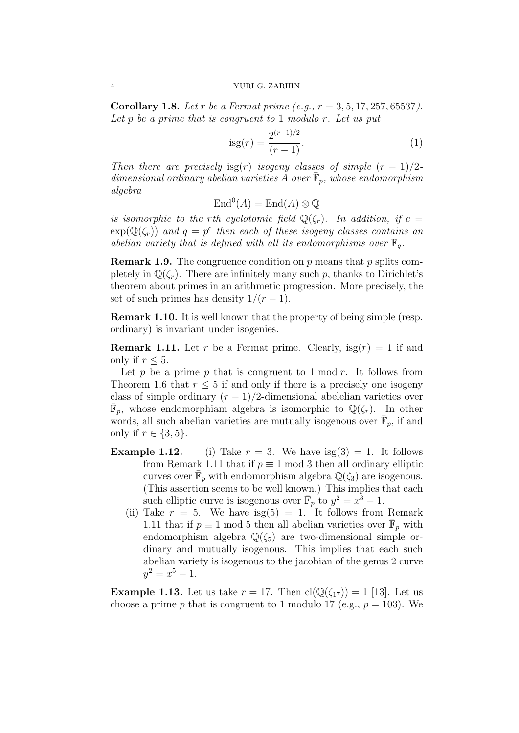**Corollary 1.8.** Let r be a Fermat prime (e.g.,  $r = 3, 5, 17, 257, 65537$ ). Let  $p$  be a prime that is congruent to 1 modulo  $r$ . Let us put

$$
isg(r) = \frac{2^{(r-1)/2}}{(r-1)}.
$$
\n(1)

Then there are precisely isg(r) isogeny classes of simple  $(r - 1)/2$ dimensional ordinary abelian varieties  $\overline{A}$  over  $\overline{\mathbb{F}}_p$ , whose endomorphism algebra

$$
\mathrm{End}^0(A) = \mathrm{End}(A) \otimes \mathbb{Q}
$$

is isomorphic to the rth cyclotomic field  $\mathbb{Q}(\zeta_r)$ . In addition, if  $c =$  $\exp(\mathbb{Q}(\zeta_r))$  and  $q = p^c$  then each of these isogeny classes contains an abelian variety that is defined with all its endomorphisms over  $\mathbb{F}_q$ .

**Remark 1.9.** The congruence condition on p means that p splits completely in  $\mathbb{Q}(\zeta_r)$ . There are infinitely many such p, thanks to Dirichlet's theorem about primes in an arithmetic progression. More precisely, the set of such primes has density  $1/(r-1)$ .

Remark 1.10. It is well known that the property of being simple (resp. ordinary) is invariant under isogenies.

**Remark 1.11.** Let r be a Fermat prime. Clearly,  $\text{isg}(r) = 1$  if and only if  $r \leq 5$ .

Let p be a prime p that is congruent to  $1 \mod r$ . It follows from Theorem 1.6 that  $r \leq 5$  if and only if there is a precisely one isogeny class of simple ordinary  $(r-1)/2$ -dimensional abelelian varieties over  $\overline{\mathbb{F}}_p$ , whose endomorphiam algebra is isomorphic to  $\mathbb{Q}(\zeta_r)$ . In other words, all such abelian varieties are mutually isogenous over  $\bar{\mathbb{F}}_p$ , if and only if  $r \in \{3, 5\}$ .

- **Example 1.12.** (i) Take  $r = 3$ . We have  $isg(3) = 1$ . It follows from Remark 1.11 that if  $p \equiv 1 \mod 3$  then all ordinary elliptic curves over  $\bar{\mathbb{F}}_p$  with endomorphism algebra  $\mathbb{Q}(\zeta_3)$  are isogenous. (This assertion seems to be well known.) This implies that each such elliptic curve is isogenous over  $\overline{\mathbb{F}}_p$  to  $y^2 = x^3 - 1$ .
	- (ii) Take  $r = 5$ . We have isg(5) = 1. It follows from Remark 1.11 that if  $p \equiv 1 \mod 5$  then all abelian varieties over  $\bar{\mathbb{F}}_p$  with endomorphism algebra  $\mathbb{Q}(\zeta_5)$  are two-dimensional simple ordinary and mutually isogenous. This implies that each such abelian variety is isogenous to the jacobian of the genus 2 curve  $y^2 = x^5 - 1.$

**Example 1.13.** Let us take  $r = 17$ . Then  $\text{cl}(\mathbb{Q}(\zeta_{17})) = 1$  [13]. Let us choose a prime p that is congruent to 1 modulo 17 (e.g.,  $p = 103$ ). We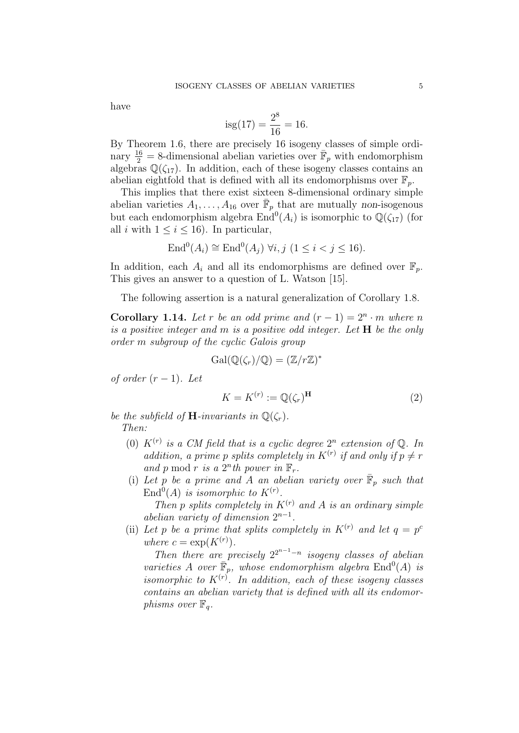have

$$
isg(17) = \frac{2^8}{16} = 16.
$$

By Theorem 1.6, there are precisely 16 isogeny classes of simple ordinary  $\frac{16}{2} = 8$ -dimensional abelian varieties over  $\bar{\mathbb{F}}_p$  with endomorphism algebras  $\mathbb{Q}(\zeta_{17})$ . In addition, each of these isogeny classes contains an abelian eightfold that is defined with all its endomorphisms over  $\mathbb{F}_n$ .

This implies that there exist sixteen 8-dimensional ordinary simple abelian varieties  $A_1, \ldots, A_{16}$  over  $\bar{\mathbb{F}}_p$  that are mutually non-isogenous but each endomorphism algebra  $\text{End}^0(A_i)$  is isomorphic to  $\mathbb{Q}(\zeta_{17})$  (for all i with  $1 \leq i \leq 16$ ). In particular,

$$
End0(Ai) \cong End0(Aj) \ \forall i, j \ (1 \leq i < j \leq 16).
$$

In addition, each  $A_i$  and all its endomorphisms are defined over  $\mathbb{F}_n$ . This gives an answer to a question of L. Watson [15].

The following assertion is a natural generalization of Corollary 1.8.

**Corollary 1.14.** Let r be an odd prime and  $(r-1) = 2<sup>n</sup> \cdot m$  where n is a positive integer and  $m$  is a positive odd integer. Let  $H$  be the only order m subgroup of the cyclic Galois group

$$
\operatorname{Gal}(\mathbb{Q}(\zeta_r)/\mathbb{Q}) = (\mathbb{Z}/r\mathbb{Z})^*
$$

of order  $(r-1)$ . Let

$$
K = K^{(r)} := \mathbb{Q}(\zeta_r)^{\mathbf{H}} \tag{2}
$$

be the subfield of **H**-invariants in  $\mathbb{Q}(\zeta_r)$ . Then:

- (0)  $K^{(r)}$  is a CM field that is a cyclic degree  $2^n$  extension of Q. In addition, a prime p splits completely in  $K^{(r)}$  if and only if  $p \neq r$ and p mod r is a  $2<sup>n</sup>$ th power in  $\mathbb{F}_r$ .
- (i) Let p be a prime and A an abelian variety over  $\overline{\mathbb{F}}_p$  such that  $\text{End}^0(A)$  is isomorphic to  $K^{(r)}$ .

Then p splits completely in  $K^{(r)}$  and A is an ordinary simple abelian variety of dimension  $2^{n-1}$ .

(ii) Let p be a prime that splits completely in  $K^{(r)}$  and let  $q = p^c$ where  $c = \exp(K^{(r)})$ .

Then there are precisely  $2^{2^{n-1}-n}$  isogeny classes of abelian varieties A over  $\overline{\mathbb{F}}_p$ , whose endomorphism algebra  $\text{End}^0(A)$  is isomorphic to  $K^{(r)}$ . In addition, each of these isogeny classes contains an abelian variety that is defined with all its endomorphisms over  $\mathbb{F}_q$ .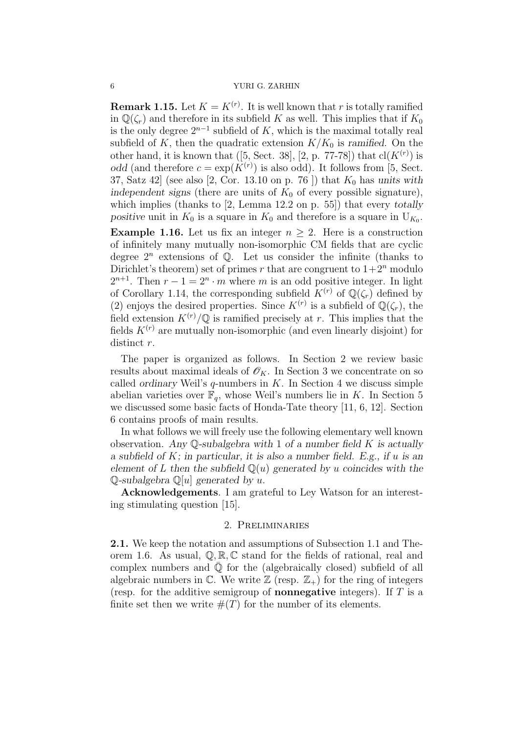**Remark 1.15.** Let  $K = K^{(r)}$ . It is well known that r is totally ramified in  $\mathbb{Q}(\zeta_r)$  and therefore in its subfield K as well. This implies that if  $K_0$ is the only degree  $2^{n-1}$  subfield of K, which is the maximal totally real subfield of K, then the quadratic extension  $K/K_0$  is ramified. On the other hand, it is known that ([5, Sect. 38], [2, p. 77-78]) that  $\text{cl}(K^{(r)})$  is odd (and therefore  $c = \exp(K^{(r)})$  is also odd). It follows from [5, Sect. 37, Satz 42 (see also  $[2, \text{Cor. } 13.10 \text{ on } p. 76]$ ) that  $K_0$  has units with independent signs (there are units of  $K_0$  of every possible signature), which implies (thanks to [2, Lemma 12.2 on p. 55]) that every *totally* positive unit in  $K_0$  is a square in  $K_0$  and therefore is a square in  $U_{K_0}$ .

**Example 1.16.** Let us fix an integer  $n \geq 2$ . Here is a construction of infinitely many mutually non-isomorphic CM fields that are cyclic degree  $2^n$  extensions of  $\mathbb Q$ . Let us consider the infinite (thanks to Dirichlet's theorem) set of primes r that are congruent to  $1+2^n$  modulo  $2^{n+1}$ . Then  $r-1=2^n \cdot m$  where m is an odd positive integer. In light of Corollary 1.14, the corresponding subfield  $K^{(r)}$  of  $\mathbb{Q}(\zeta_r)$  defined by (2) enjoys the desired properties. Since  $K^{(r)}$  is a subfield of  $\mathbb{Q}(\zeta_r)$ , the field extension  $K^{(r)}/\mathbb{Q}$  is ramified precisely at r. This implies that the fields  $K^{(r)}$  are mutually non-isomorphic (and even linearly disjoint) for distinct r.

The paper is organized as follows. In Section 2 we review basic results about maximal ideals of  $\mathscr{O}_K$ . In Section 3 we concentrate on so called ordinary Weil's  $q$ -numbers in  $K$ . In Section 4 we discuss simple abelian varieties over  $\mathbb{F}_q$ , whose Weil's numbers lie in K. In Section 5 we discussed some basic facts of Honda-Tate theory [11, 6, 12]. Section 6 contains proofs of main results.

In what follows we will freely use the following elementary well known observation. Any  $\mathbb{Q}$ -subalgebra with 1 of a number field K is actually a subfield of  $K$ ; in particular, it is also a number field. E.g., if u is an element of L then the subfield  $\mathbb{Q}(u)$  generated by u coincides with the  $\mathbb Q$ -subalgebra  $\mathbb Q[u]$  generated by u.

Acknowledgements. I am grateful to Ley Watson for an interesting stimulating question [15].

# 2. Preliminaries

2.1. We keep the notation and assumptions of Subsection 1.1 and Theorem 1.6. As usual,  $\mathbb{Q}, \mathbb{R}, \mathbb{C}$  stand for the fields of rational, real and complex numbers and  $\overline{Q}$  for the (algebraically closed) subfield of all algebraic numbers in  $\mathbb C$ . We write  $\mathbb Z$  (resp.  $\mathbb Z_+$ ) for the ring of integers (resp. for the additive semigroup of **nonnegative** integers). If  $T$  is a finite set then we write  $#(T)$  for the number of its elements.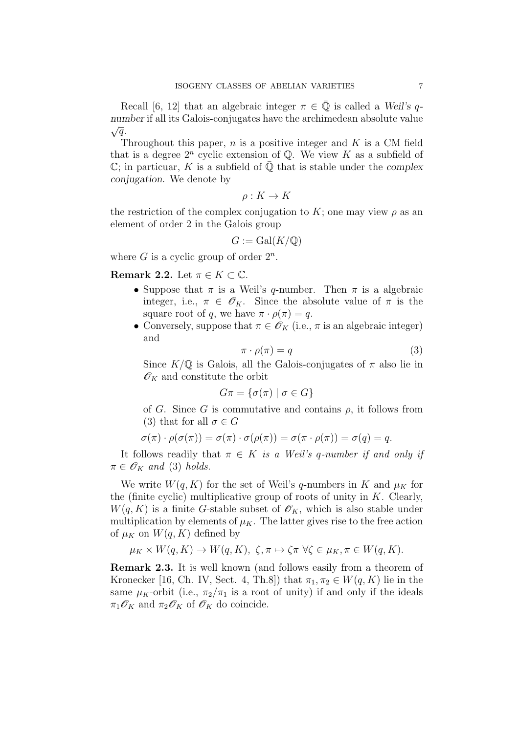Recall [6, 12] that an algebraic integer  $\pi \in \overline{Q}$  is called a Weil's qnumber if all its Galois-conjugates have the archimedean absolute value  $\sqrt{q}$ .

Throughout this paper,  $n$  is a positive integer and  $K$  is a CM field that is a degree  $2^n$  cyclic extension of  $\mathbb{Q}$ . We view K as a subfield of  $\mathbb{C}$ ; in particuar, K is a subfield of  $\overline{\mathbb{Q}}$  that is stable under the complex conjugation. We denote by

$$
\rho: K \to K
$$

the restriction of the complex conjugation to K; one may view  $\rho$  as an element of order 2 in the Galois group

$$
G := \operatorname{Gal}(K/\mathbb{Q})
$$

where  $G$  is a cyclic group of order  $2^n$ .

Remark 2.2. Let  $\pi \in K \subset \mathbb{C}$ .

- Suppose that  $\pi$  is a Weil's q-number. Then  $\pi$  is a algebraic integer, i.e.,  $\pi \in \mathscr{O}_K$ . Since the absolute value of  $\pi$  is the square root of q, we have  $\pi \cdot \rho(\pi) = q$ .
- Conversely, suppose that  $\pi \in \mathscr{O}_K$  (i.e.,  $\pi$  is an algebraic integer) and

$$
\pi \cdot \rho(\pi) = q \tag{3}
$$

Since  $K/\mathbb{Q}$  is Galois, all the Galois-conjugates of  $\pi$  also lie in  $\mathscr{O}_K$  and constitute the orbit

$$
G\pi = \{ \sigma(\pi) \mid \sigma \in G \}
$$

of G. Since G is commutative and contains  $\rho$ , it follows from (3) that for all  $\sigma \in G$ 

$$
\sigma(\pi) \cdot \rho(\sigma(\pi)) = \sigma(\pi) \cdot \sigma(\rho(\pi)) = \sigma(\pi \cdot \rho(\pi)) = \sigma(q) = q.
$$

It follows readily that  $\pi \in K$  is a Weil's q-number if and only if  $\pi \in \mathscr{O}_K$  and (3) holds.

We write  $W(q, K)$  for the set of Weil's q-numbers in K and  $\mu_K$  for the (finite cyclic) multiplicative group of roots of unity in  $K$ . Clearly,  $W(q, K)$  is a finite G-stable subset of  $\mathscr{O}_K$ , which is also stable under multiplication by elements of  $\mu_K$ . The latter gives rise to the free action of  $\mu_K$  on  $W(q, K)$  defined by

$$
\mu_K \times W(q, K) \to W(q, K), \ \zeta, \pi \mapsto \zeta \pi \ \forall \zeta \in \mu_K, \pi \in W(q, K).
$$

Remark 2.3. It is well known (and follows easily from a theorem of Kronecker [16, Ch. IV, Sect. 4, Th.8]) that  $\pi_1, \pi_2 \in W(q, K)$  lie in the same  $\mu_K$ -orbit (i.e.,  $\pi_2/\pi_1$  is a root of unity) if and only if the ideals  $\pi_1 \mathscr{O}_K$  and  $\pi_2 \mathscr{O}_K$  of  $\mathscr{O}_K$  do coincide.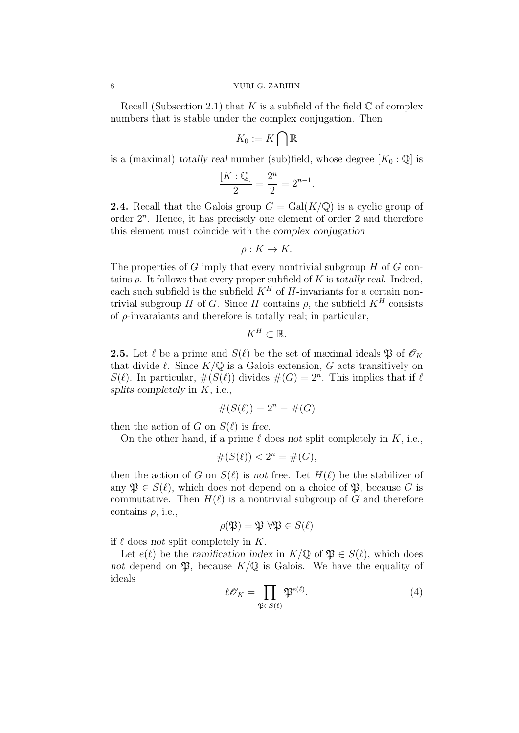Recall (Subsection 2.1) that K is a subfield of the field  $\mathbb C$  of complex numbers that is stable under the complex conjugation. Then

$$
K_0:=K\bigcap\mathbb{R}
$$

is a (maximal) totally real number (sub)field, whose degree  $[K_0 : \mathbb{Q}]$  is

$$
\frac{[K:\mathbb{Q}]}{2} = \frac{2^n}{2} = 2^{n-1}.
$$

**2.4.** Recall that the Galois group  $G = \text{Gal}(K/\mathbb{Q})$  is a cyclic group of order  $2<sup>n</sup>$ . Hence, it has precisely one element of order 2 and therefore this element must coincide with the complex conjugation

$$
\rho: K \to K.
$$

The properties of  $G$  imply that every nontrivial subgroup  $H$  of  $G$  contains  $\rho$ . It follows that every proper subfield of K is totally real. Indeed, each such subfield is the subfield  $K<sup>H</sup>$  of H-invariants for a certain nontrivial subgroup H of G. Since H contains  $\rho$ , the subfield  $K^H$  consists of  $\rho$ -invaraiants and therefore is totally real; in particular,

$$
K^H\subset\mathbb{R}.
$$

**2.5.** Let  $\ell$  be a prime and  $S(\ell)$  be the set of maximal ideals  $\mathfrak{P}$  of  $\mathcal{O}_K$ that divide  $\ell$ . Since  $K/\mathbb{Q}$  is a Galois extension, G acts transitively on  $S(\ell)$ . In particular,  $\#(S(\ell))$  divides  $\#(G) = 2^n$ . This implies that if  $\ell$ splits completely in  $K$ , i.e.,

$$
#(S(\ell)) = 2^n = #(G)
$$

then the action of G on  $S(\ell)$  is free.

On the other hand, if a prime  $\ell$  does not split completely in K, i.e.,

$$
\#(S(\ell)) < 2^n = \#(G),
$$

then the action of G on  $S(\ell)$  is not free. Let  $H(\ell)$  be the stabilizer of any  $\mathfrak{P} \in S(\ell)$ , which does not depend on a choice of  $\mathfrak{P}$ , because G is commutative. Then  $H(\ell)$  is a nontrivial subgroup of G and therefore contains  $\rho$ , i.e.,

$$
\rho(\mathfrak{P}) = \mathfrak{P} \,\,\forall \mathfrak{P} \in S(\ell)
$$

if  $\ell$  does not split completely in K.

Let  $e(\ell)$  be the ramification index in  $K/\mathbb{Q}$  of  $\mathfrak{P} \in S(\ell)$ , which does not depend on  $\mathfrak{P}$ , because  $K/\mathbb{Q}$  is Galois. We have the equality of ideals

$$
\ell \mathcal{O}_K = \prod_{\mathfrak{P} \in S(\ell)} \mathfrak{P}^{e(\ell)}.
$$
 (4)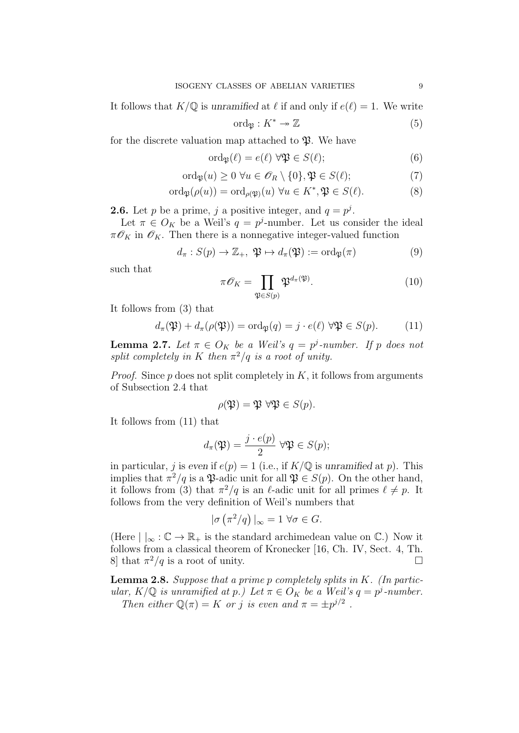It follows that  $K/\mathbb{Q}$  is unramified at  $\ell$  if and only if  $e(\ell) = 1$ . We write

$$
\text{ord}_{\mathfrak{P}}: K^* \to \mathbb{Z} \tag{5}
$$

for the discrete valuation map attached to  $\mathfrak{P}$ . We have

$$
\operatorname{ord}_{\mathfrak{P}}(\ell) = e(\ell) \,\,\forall \mathfrak{P} \in S(\ell); \tag{6}
$$

$$
\operatorname{ord}_{\mathfrak{P}}(u) \ge 0 \,\forall u \in \mathscr{O}_R \setminus \{0\}, \mathfrak{P} \in S(\ell); \tag{7}
$$

$$
\operatorname{ord}_{\mathfrak{P}}(\rho(u)) = \operatorname{ord}_{\rho(\mathfrak{P})}(u) \,\forall u \in K^*, \mathfrak{P} \in S(\ell). \tag{8}
$$

**2.6.** Let p be a prime, j a positive integer, and  $q = p<sup>j</sup>$ .

Let  $\pi \in O_K$  be a Weil's  $q = p^j$ -number. Let us consider the ideal  $\pi \mathcal{O}_K$  in  $\mathcal{O}_K$ . Then there is a nonnegative integer-valued function

$$
d_{\pi}: S(p) \to \mathbb{Z}_+, \ \mathfrak{P} \mapsto d_{\pi}(\mathfrak{P}) := \text{ord}_{\mathfrak{P}}(\pi) \tag{9}
$$

such that

$$
\pi \mathscr{O}_K = \prod_{\mathfrak{P} \in S(p)} \mathfrak{P}^{d_\pi(\mathfrak{P})}.
$$
 (10)

It follows from (3) that

$$
d_{\pi}(\mathfrak{P}) + d_{\pi}(\rho(\mathfrak{P})) = \text{ord}_{\mathfrak{P}}(q) = j \cdot e(\ell) \ \forall \mathfrak{P} \in S(p). \tag{11}
$$

**Lemma 2.7.** Let  $\pi \in O_K$  be a Weil's  $q = p^j$ -number. If p does not split completely in K then  $\pi^2/q$  is a root of unity.

*Proof.* Since  $p$  does not split completely in  $K$ , it follows from arguments of Subsection 2.4 that

$$
\rho(\mathfrak{P}) = \mathfrak{P} \,\,\forall \mathfrak{P} \in S(p).
$$

It follows from (11) that

$$
d_{\pi}(\mathfrak{P}) = \frac{j \cdot e(p)}{2} \,\forall \mathfrak{P} \in S(p);
$$

in particular, j is even if  $e(p) = 1$  (i.e., if  $K/\mathbb{Q}$  is unramified at p). This implies that  $\pi^2/q$  is a  $\mathfrak{P}$ -adic unit for all  $\mathfrak{P} \in S(p)$ . On the other hand, it follows from (3) that  $\pi^2/q$  is an  $\ell$ -adic unit for all primes  $\ell \neq p$ . It follows from the very definition of Weil's numbers that

$$
|\sigma\left(\pi^2/q\right)|_{\infty}=1 \,\forall \sigma\in G.
$$

(Here  $| \cdot |_{\infty} : \mathbb{C} \to \mathbb{R}_{+}$  is the standard archimedean value on  $\mathbb{C}$ .) Now it follows from a classical theorem of Kronecker [16, Ch. IV, Sect. 4, Th. 8] that  $\pi^2/q$  is a root of unity.  $\Box$ 

**Lemma 2.8.** Suppose that a prime p completely splits in  $K$ . (In particular,  $K/\mathbb{Q}$  is unramified at p.) Let  $\pi \in O_K$  be a Weil's  $q = p^j$ -number. Then either  $\mathbb{Q}(\pi) = K$  or j is even and  $\pi = \pm p^{j/2}$ .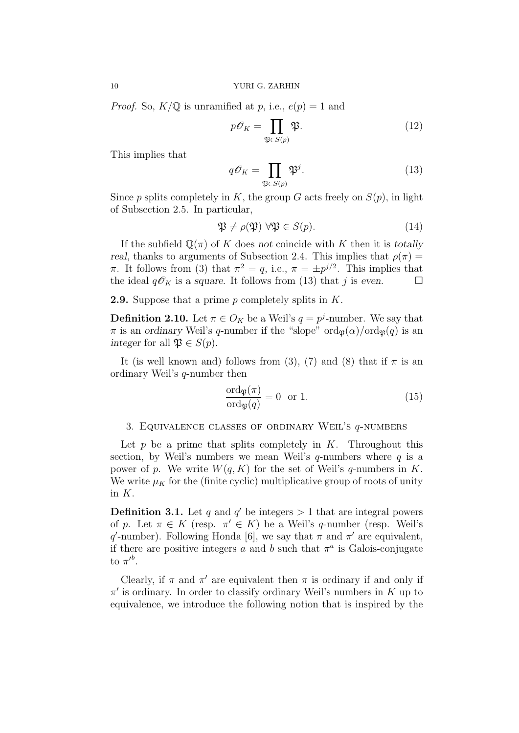*Proof.* So,  $K/\mathbb{Q}$  is unramified at p, i.e.,  $e(p) = 1$  and

$$
p\mathscr{O}_K = \prod_{\mathfrak{P} \in S(p)} \mathfrak{P}.\tag{12}
$$

This implies that

$$
q\mathcal{O}_K = \prod_{\mathfrak{P} \in S(p)} \mathfrak{P}^j. \tag{13}
$$

Since p splits completely in K, the group G acts freely on  $S(p)$ , in light of Subsection 2.5. In particular,

$$
\mathfrak{P} \neq \rho(\mathfrak{P}) \,\,\forall \mathfrak{P} \in S(p). \tag{14}
$$

If the subfield  $\mathbb{Q}(\pi)$  of K does not coincide with K then it is totally real, thanks to arguments of Subsection 2.4. This implies that  $\rho(\pi)$  = π. It follows from (3) that  $\pi^2 = q$ , i.e.,  $\pi = \pm p^{j/2}$ . This implies that the ideal  $q\mathscr{O}_K$  is a square. It follows from (13) that j is even.  $\Box$ 

**2.9.** Suppose that a prime p completely splits in  $K$ .

**Definition 2.10.** Let  $\pi \in O_K$  be a Weil's  $q = p^j$ -number. We say that  $\pi$  is an ordinary Weil's q-number if the "slope" ord $p(\alpha)/\text{ord}_{\mathfrak{B}}(q)$  is an integer for all  $\mathfrak{P} \in S(p)$ .

It (is well known and) follows from (3), (7) and (8) that if  $\pi$  is an ordinary Weil's q-number then

$$
\frac{\text{ord}_{\mathfrak{P}}(\pi)}{\text{ord}_{\mathfrak{P}}(q)} = 0 \quad \text{or} \quad 1. \tag{15}
$$

# 3. EQUIVALENCE CLASSES OF ORDINARY WEIL'S  $q$ -NUMBERS

Let  $p$  be a prime that splits completely in  $K$ . Throughout this section, by Weil's numbers we mean Weil's  $q$ -numbers where  $q$  is a power of p. We write  $W(q, K)$  for the set of Weil's q-numbers in K. We write  $\mu_K$  for the (finite cyclic) multiplicative group of roots of unity in K.

**Definition 3.1.** Let q and q' be integers  $> 1$  that are integral powers of p. Let  $\pi \in K$  (resp.  $\pi' \in K$ ) be a Weil's q-number (resp. Weil's q'-number). Following Honda [6], we say that  $\pi$  and  $\pi'$  are equivalent, if there are positive integers a and b such that  $\pi^a$  is Galois-conjugate to  $\pi^{\prime b}$ .

Clearly, if  $\pi$  and  $\pi'$  are equivalent then  $\pi$  is ordinary if and only if  $\pi'$  is ordinary. In order to classify ordinary Weil's numbers in K up to equivalence, we introduce the following notion that is inspired by the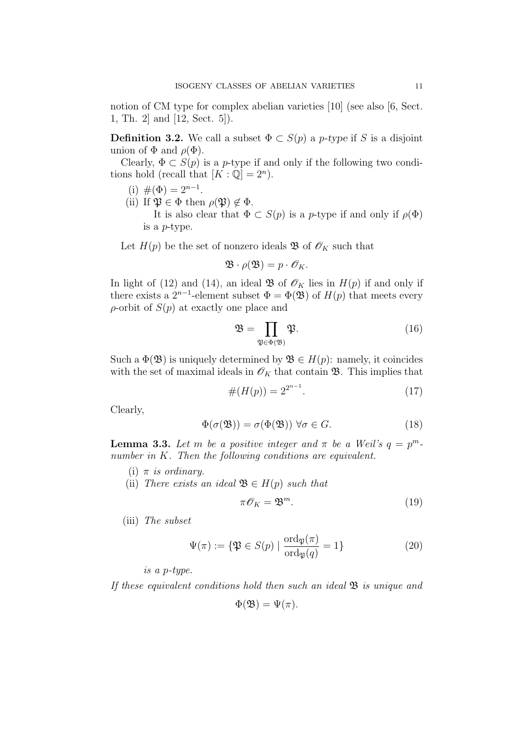notion of CM type for complex abelian varieties  $|10|$  (see also  $|6$ , Sect. 1, Th. 2] and [12, Sect. 5]).

**Definition 3.2.** We call a subset  $\Phi \subset S(p)$  a *p*-type if S is a disjoint union of  $\Phi$  and  $\rho(\Phi)$ .

Clearly,  $\Phi \subset S(p)$  is a p-type if and only if the following two conditions hold (recall that  $[K : \mathbb{Q}] = 2^n$ ).

- (i)  $\#(\Phi) = 2^{n-1}$ .
- (ii) If  $\mathfrak{P} \in \Phi$  then  $\rho(\mathfrak{P}) \notin \Phi$ . It is also clear that  $\Phi \subset S(p)$  is a *p*-type if and only if  $\rho(\Phi)$

is a p-type.

Let  $H(p)$  be the set of nonzero ideals **B** of  $\mathscr{O}_K$  such that

$$
\mathfrak{B} \cdot \rho(\mathfrak{B}) = p \cdot \mathscr{O}_K.
$$

In light of (12) and (14), an ideal  $\mathfrak{B}$  of  $\mathscr{O}_K$  lies in  $H(p)$  if and only if there exists a  $2^{n-1}$ -element subset  $\Phi = \Phi(\mathfrak{B})$  of  $H(p)$  that meets every  $\rho$ -orbit of  $S(p)$  at exactly one place and

$$
\mathfrak{B} = \prod_{\mathfrak{P} \in \Phi(\mathfrak{B})} \mathfrak{P}.\tag{16}
$$

Such a  $\Phi(\mathfrak{B})$  is uniquely determined by  $\mathfrak{B} \in H(p)$ : namely, it coincides with the set of maximal ideals in  $\mathcal{O}_K$  that contain  $\mathfrak{B}$ . This implies that

$$
#(H(p)) = 2^{2^{n-1}}.
$$
\n(17)

Clearly,

$$
\Phi(\sigma(\mathfrak{B})) = \sigma(\Phi(\mathfrak{B})) \,\forall \sigma \in G. \tag{18}
$$

**Lemma 3.3.** Let m be a positive integer and  $\pi$  be a Weil's  $q = p^m$ . number in K. Then the following conditions are equivalent.

- (i)  $\pi$  is ordinary.
- (ii) There exists an ideal  $\mathfrak{B} \in H(p)$  such that

$$
\pi \mathcal{O}_K = \mathfrak{B}^m. \tag{19}
$$

(iii) The subset

$$
\Psi(\pi) := \{ \mathfrak{P} \in S(p) \mid \frac{\text{ord}_{\mathfrak{P}}(\pi)}{\text{ord}_{\mathfrak{P}}(q)} = 1 \}
$$
\n(20)

is a p-type.

If these equivalent conditions hold then such an ideal  $\mathfrak{B}$  is unique and

$$
\Phi(\mathfrak{B}) = \Psi(\pi).
$$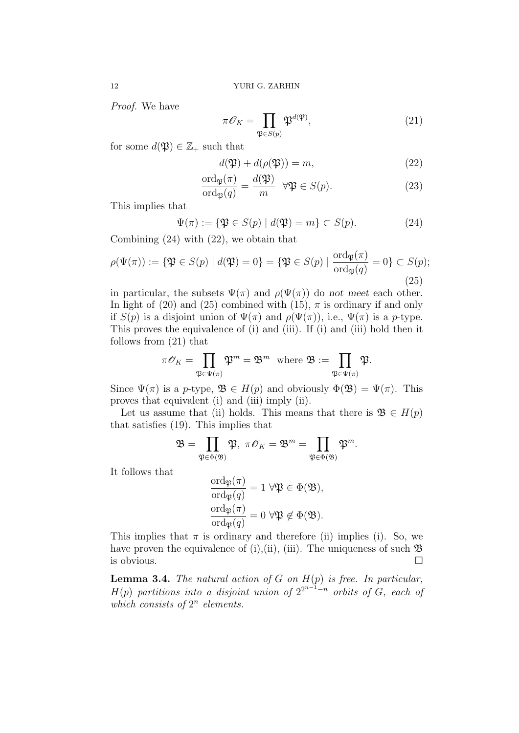Proof. We have

$$
\pi \mathcal{O}_K = \prod_{\mathfrak{P} \in S(p)} \mathfrak{P}^{d(\mathfrak{P})},\tag{21}
$$

for some  $d(\mathfrak{P}) \in \mathbb{Z}_+$  such that

$$
d(\mathfrak{P}) + d(\rho(\mathfrak{P})) = m,
$$
\n(22)

$$
\frac{\text{ord}_{\mathfrak{P}}(\pi)}{\text{ord}_{\mathfrak{P}}(q)} = \frac{d(\mathfrak{P})}{m} \quad \forall \mathfrak{P} \in S(p). \tag{23}
$$

This implies that

$$
\Psi(\pi) := \{ \mathfrak{P} \in S(p) \mid d(\mathfrak{P}) = m \} \subset S(p). \tag{24}
$$

Combining (24) with (22), we obtain that

$$
\rho(\Psi(\pi)) := \{ \mathfrak{P} \in S(p) \mid d(\mathfrak{P}) = 0 \} = \{ \mathfrak{P} \in S(p) \mid \frac{\text{ord}_{\mathfrak{P}}(\pi)}{\text{ord}_{\mathfrak{P}}(q)} = 0 \} \subset S(p);
$$
\n(25)

in particular, the subsets  $\Psi(\pi)$  and  $\rho(\Psi(\pi))$  do not meet each other. In light of (20) and (25) combined with (15),  $\pi$  is ordinary if and only if  $S(p)$  is a disjoint union of  $\Psi(\pi)$  and  $\rho(\Psi(\pi))$ , i.e.,  $\Psi(\pi)$  is a p-type. This proves the equivalence of (i) and (iii). If (i) and (iii) hold then it follows from (21) that

$$
\pi \mathscr{O}_K = \prod_{\mathfrak{P} \in \Psi(\pi)} \mathfrak{P}^m = \mathfrak{B}^m \ \ \text{where} \ \mathfrak{B} := \prod_{\mathfrak{P} \in \Psi(\pi)} \mathfrak{P}.
$$

Since  $\Psi(\pi)$  is a p-type,  $\mathfrak{B} \in H(p)$  and obviously  $\Phi(\mathfrak{B}) = \Psi(\pi)$ . This proves that equivalent (i) and (iii) imply (ii).

Let us assume that (ii) holds. This means that there is  $\mathfrak{B} \in H(p)$ that satisfies (19). This implies that

$$
\mathfrak{B}=\prod_{\mathfrak{P}\in \Phi(\mathfrak{B})}\mathfrak{P},\ \pi\mathscr{O}_K=\mathfrak{B}^m=\prod_{\mathfrak{P}\in \Phi(\mathfrak{B})}\mathfrak{P}^m.
$$

It follows that

$$
\frac{\text{ord}_{\mathfrak{P}}(\pi)}{\text{ord}_{\mathfrak{P}}(q)} = 1 \,\forall \mathfrak{P} \in \Phi(\mathfrak{B}),
$$

$$
\frac{\text{ord}_{\mathfrak{P}}(\pi)}{\text{ord}_{\mathfrak{P}}(q)} = 0 \,\forall \mathfrak{P} \notin \Phi(\mathfrak{B}).
$$

This implies that  $\pi$  is ordinary and therefore (ii) implies (i). So, we have proven the equivalence of (i),(ii), (iii). The uniqueness of such  $\mathfrak{B}$ is obvious.  $\Box$ 

**Lemma 3.4.** The natural action of G on  $H(p)$  is free. In particular,  $H(p)$  partitions into a disjoint union of  $2^{2^{n-1}-n}$  orbits of G, each of which consists of  $2^n$  elements.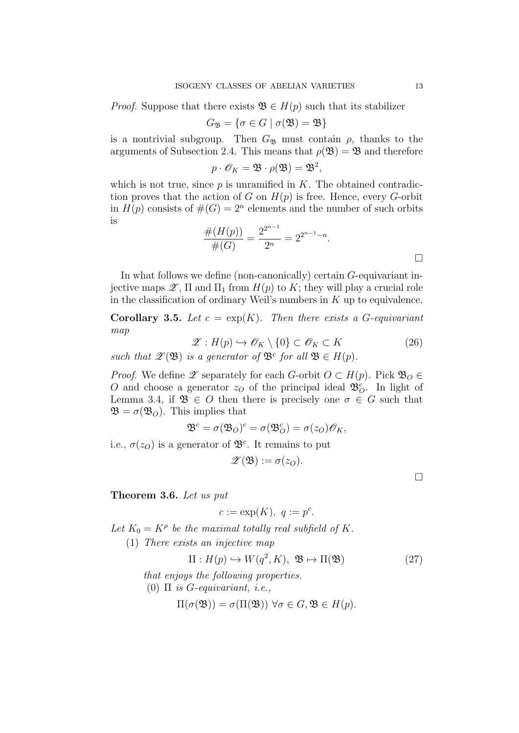*Proof.* Suppose that there exists  $\mathfrak{B} \in H(p)$  such that its stabilizer

$$
G_{\mathfrak{B}} = \{ \sigma \in G \mid \sigma(\mathfrak{B}) = \mathfrak{B} \}
$$

is a nontrivial subgroup. Then  $G_{\mathfrak{B}}$  must contain  $\rho$ , thanks to the arguments of Subsection 2.4. This means that  $\rho(\mathfrak{B}) = \mathfrak{B}$  and therefore

$$
p \cdot \mathscr{O}_K = \mathfrak{B} \cdot \rho(\mathfrak{B}) = \mathfrak{B}^2,
$$

which is not true, since  $p$  is unramified in  $K$ . The obtained contradiction proves that the action of G on  $H(p)$  is free. Hence, every G-orbit in  $H(p)$  consists of  $\#(G) = 2^n$  elements and the number of such orbits is

$$
\frac{\#(H(p))}{\#(G)} = \frac{2^{2^{n-1}}}{2^n} = 2^{2^{n-1}-n}.
$$

In what follows we define (non-canonically) certain G-equivariant injective maps  $\mathscr{Z}$ ,  $\Pi$  and  $\Pi_1$  from  $H(p)$  to K; they will play a crucial role in the classification of ordinary Weil's numbers in  $K$  up to equivalence.

**Corollary 3.5.** Let  $c = \exp(K)$ . Then there exists a G-equivariant map

$$
\mathscr{Z}: H(p) \hookrightarrow \mathscr{O}_K \setminus \{0\} \subset \mathscr{O}_K \subset K \tag{26}
$$

such that  $\mathscr{Z}(\mathfrak{B})$  is a generator of  $\mathfrak{B}^c$  for all  $\mathfrak{B} \in H(p)$ .

*Proof.* We define  $\mathscr X$  separately for each G-orbit  $O \subset H(p)$ . Pick  $\mathfrak B_O \in$ O and choose a generator  $z<sub>O</sub>$  of the principal ideal  $\mathfrak{B}^c_{O}$ . In light of Lemma 3.4, if  $\mathfrak{B} \in O$  then there is precisely one  $\sigma \in G$  such that  $\mathfrak{B} = \sigma(\mathfrak{B}_O)$ . This implies that

$$
\mathfrak{B}^c = \sigma(\mathfrak{B}_O)^c = \sigma(\mathfrak{B}_O^c) = \sigma(z_O)\mathscr{O}_K,
$$

i.e.,  $\sigma(z_0)$  is a generator of  $\mathfrak{B}^c$ . It remains to put

$$
\mathscr{Z}(\mathfrak{B}):=\sigma(z_O).
$$

□

# Theorem 3.6. Let us put

$$
c := \exp(K), \ q := p^c.
$$

Let  $K_0 = K^{\rho}$  be the maximal totally real subfield of K.

(1) There exists an injective map

$$
\Pi: H(p) \hookrightarrow W(q^2, K), \ \mathfrak{B} \mapsto \Pi(\mathfrak{B})
$$
\n<sup>(27)</sup>

that enjoys the following properties.

(0)  $\Pi$  is *G*-equivariant, *i.e.*,

$$
\Pi(\sigma(\mathfrak{B})) = \sigma(\Pi(\mathfrak{B})) \,\,\forall \sigma \in G, \mathfrak{B} \in H(p).
$$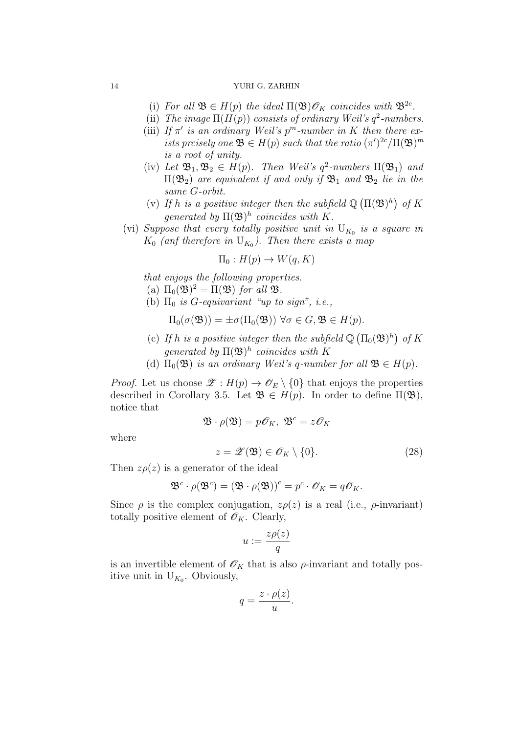- (i) For all  $\mathfrak{B} \in H(p)$  the ideal  $\Pi(\mathfrak{B})\mathscr{O}_K$  coincides with  $\mathfrak{B}^{2c}$ .
- (ii) The image  $\Pi(H(p))$  consists of ordinary Weil's  $q^2$ -numbers.
- (iii) If  $\pi'$  is an ordinary Weil's  $p^m$ -number in K then there exists preisely one  $\mathfrak{B} \in H(p)$  such that the ratio  $(\pi')^{2c}/\Pi(\mathfrak{B})^m$ is a root of unity.
- (iv) Let  $\mathfrak{B}_1, \mathfrak{B}_2 \in H(p)$ . Then Weil's  $q^2$ -numbers  $\Pi(\mathfrak{B}_1)$  and  $\Pi(\mathfrak{B}_2)$  are equivalent if and only if  $\mathfrak{B}_1$  and  $\mathfrak{B}_2$  lie in the same G-orbit.
- (v) If h is a positive integer then the subfield  $\mathbb{Q}(\Pi(\mathfrak{B})^h)$  of K generated by  $\Pi(\mathfrak{B})^h$  coincides with K.
- (vi) Suppose that every totally positive unit in  $U_{K_0}$  is a square in  $K_0$  (anf therefore in  $U_{K_0}$ ). Then there exists a map

$$
\Pi_0: H(p) \to W(q, K)
$$

that enjoys the following properties.

- (a)  $\Pi_0(\mathfrak{B})^2 = \Pi(\mathfrak{B})$  for all  $\mathfrak{B}$ .
- (b)  $\Pi_0$  is *G*-equivariant "up to sign", i.e.,

$$
\Pi_0(\sigma(\mathfrak{B})) = \pm \sigma(\Pi_0(\mathfrak{B})) \,\,\forall \sigma \in G, \mathfrak{B} \in H(p).
$$

- (c) If h is a positive integer then the subfield  $\mathbb{Q}(\Pi_0(\mathfrak{B})^h)$  of K generated by  $\Pi(\mathfrak{B})^h$  coincides with K
- (d)  $\Pi_0(\mathfrak{B})$  is an ordinary Weil's q-number for all  $\mathfrak{B} \in H(p)$ .

*Proof.* Let us choose  $\mathscr{Z}: H(p) \to \mathscr{O}_E \setminus \{0\}$  that enjoys the properties described in Corollary 3.5. Let  $\mathfrak{B} \in H(p)$ . In order to define  $\Pi(\mathfrak{B})$ , notice that

$$
\mathfrak{B} \cdot \rho(\mathfrak{B}) = p\mathscr{O}_K, \ \mathfrak{B}^c = z\mathscr{O}_K
$$

where

$$
z = \mathscr{Z}(\mathfrak{B}) \in \mathscr{O}_K \setminus \{0\}.
$$
 (28)

Then  $z\rho(z)$  is a generator of the ideal

$$
\mathfrak{B}^c \cdot \rho(\mathfrak{B}^c) = (\mathfrak{B} \cdot \rho(\mathfrak{B}))^c = p^c \cdot \mathscr{O}_K = q\mathscr{O}_K.
$$

Since  $\rho$  is the complex conjugation,  $z\rho(z)$  is a real (i.e.,  $\rho$ -invariant) totally positive element of  $\mathscr{O}_K$ . Clearly,

$$
u:=\frac{z\rho(z)}{q}
$$

is an invertible element of  $\mathscr{O}_K$  that is also  $\rho$ -invariant and totally positive unit in  $U_{K_0}$ . Obviously,

$$
q = \frac{z \cdot \rho(z)}{u}.
$$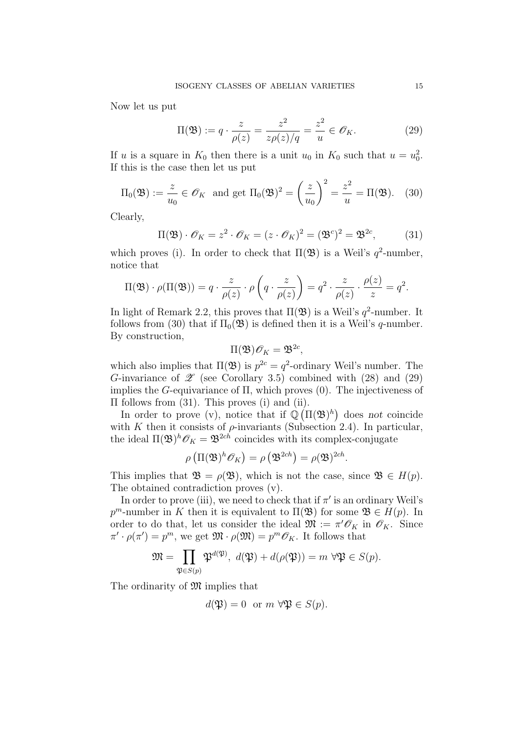Now let us put

$$
\Pi(\mathfrak{B}) := q \cdot \frac{z}{\rho(z)} = \frac{z^2}{z\rho(z)/q} = \frac{z^2}{u} \in \mathscr{O}_K. \tag{29}
$$

If u is a square in  $K_0$  then there is a unit  $u_0$  in  $K_0$  such that  $u = u_0^2$ . If this is the case then let us put

$$
\Pi_0(\mathfrak{B}) := \frac{z}{u_0} \in \mathscr{O}_K \text{ and get } \Pi_0(\mathfrak{B})^2 = \left(\frac{z}{u_0}\right)^2 = \frac{z^2}{u} = \Pi(\mathfrak{B}). \quad (30)
$$

Clearly,

$$
\Pi(\mathfrak{B}) \cdot \mathscr{O}_K = z^2 \cdot \mathscr{O}_K = (z \cdot \mathscr{O}_K)^2 = (\mathfrak{B}^c)^2 = \mathfrak{B}^{2c},\tag{31}
$$

which proves (i). In order to check that  $\Pi(\mathfrak{B})$  is a Weil's  $q^2$ -number, notice that

$$
\Pi(\mathfrak{B}) \cdot \rho(\Pi(\mathfrak{B})) = q \cdot \frac{z}{\rho(z)} \cdot \rho\left(q \cdot \frac{z}{\rho(z)}\right) = q^2 \cdot \frac{z}{\rho(z)} \cdot \frac{\rho(z)}{z} = q^2.
$$

In light of Remark 2.2, this proves that  $\Pi(\mathfrak{B})$  is a Weil's  $q^2$ -number. It follows from (30) that if  $\Pi_0(\mathfrak{B})$  is defined then it is a Weil's q-number. By construction,

$$
\Pi(\mathfrak{B})\mathscr{O}_K=\mathfrak{B}^{2c},
$$

which also implies that  $\Pi(\mathfrak{B})$  is  $p^{2c} = q^2$ -ordinary Weil's number. The G-invariance of  $\mathscr{Z}$  (see Corollary 3.5) combined with (28) and (29) implies the G-equivariance of  $\Pi$ , which proves  $(0)$ . The injectiveness of Π follows from (31). This proves (i) and (ii).

In order to prove (v), notice that if  $\mathbb{Q}(\Pi(\mathfrak{B})^h)$  does not coincide with K then it consists of  $\rho$ -invariants (Subsection 2.4). In particular, the ideal  $\Pi(\mathfrak{B})^h \mathscr{O}_K = \mathfrak{B}^{2ch}$  coincides with its complex-conjugate

$$
\rho\left(\Pi(\mathfrak{B})^h\mathscr{O}_K\right)=\rho\left(\mathfrak{B}^{2ch}\right)=\rho(\mathfrak{B})^{2ch}.
$$

This implies that  $\mathfrak{B} = \rho(\mathfrak{B})$ , which is not the case, since  $\mathfrak{B} \in H(p)$ . The obtained contradiction proves (v).

In order to prove (iii), we need to check that if  $\pi'$  is an ordinary Weil's  $p^m$ -number in K then it is equivalent to  $\Pi(\mathfrak{B})$  for some  $\mathfrak{B} \in H(p)$ . In order to do that, let us consider the ideal  $\mathfrak{M} := \pi' \mathcal{O}_K$  in  $\mathcal{O}_K$ . Since  $\pi' \cdot \rho(\pi') = p^m$ , we get  $\mathfrak{M} \cdot \rho(\mathfrak{M}) = p^m \mathscr{O}_K$ . It follows that

$$
\mathfrak{M} = \prod_{\mathfrak{P} \in S(p)} \mathfrak{P}^{d(\mathfrak{P})}, \ d(\mathfrak{P}) + d(\rho(\mathfrak{P})) = m \ \forall \mathfrak{P} \in S(p).
$$

The ordinarity of  $\mathfrak{M}$  implies that

$$
d(\mathfrak{P}) = 0
$$
 or  $m \forall \mathfrak{P} \in S(p)$ .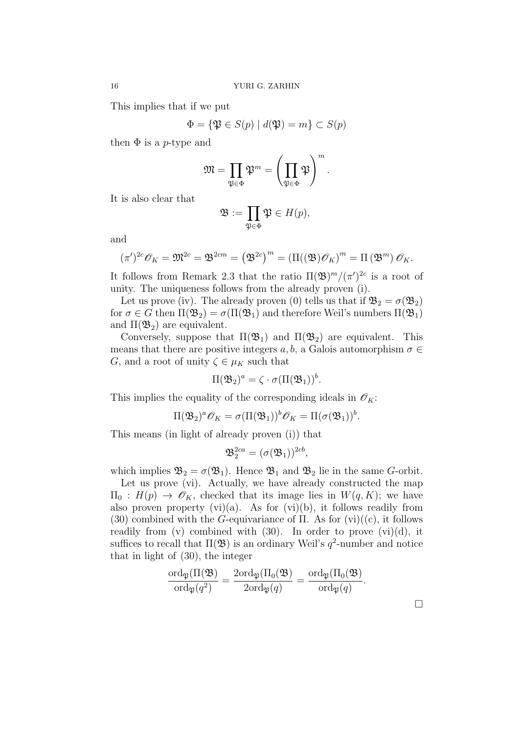This implies that if we put

$$
\Phi = \{ \mathfrak{P} \in S(p) \mid d(\mathfrak{P}) = m \} \subset S(p)
$$

then  $\Phi$  is a p-type and

$$
\mathfrak{M}=\prod_{\mathfrak{P}\in \Phi}\mathfrak{P}^m=\left(\prod_{\mathfrak{P}\in \Phi}\mathfrak{P}\right)^m.
$$

It is also clear that

$$
\mathfrak{B}:=\prod_{\mathfrak{P}\in \Phi}\mathfrak{P}\in H(p),
$$

and

$$
(\pi')^{2c}\mathscr{O}_K = \mathfrak{M}^{2c} = \mathfrak{B}^{2cm} = (\mathfrak{B}^{2c})^m = (\Pi((\mathfrak{B})\mathscr{O}_K)^m = \Pi(\mathfrak{B}^m)\mathscr{O}_K.
$$

It follows from Remark 2.3 that the ratio  $\Pi(\mathfrak{B})^m/(\pi')^{2c}$  is a root of unity. The uniqueness follows from the already proven (i).

Let us prove (iv). The already proven (0) tells us that if  $\mathfrak{B}_2 = \sigma(\mathfrak{B}_2)$ for  $\sigma \in G$  then  $\Pi(\mathfrak{B}_2) = \sigma(\Pi(\mathfrak{B}_1))$  and therefore Weil's numbers  $\Pi(\mathfrak{B}_1)$ and  $\Pi(\mathfrak{B}_2)$  are equivalent.

Conversely, suppose that  $\Pi(\mathfrak{B}_1)$  and  $\Pi(\mathfrak{B}_2)$  are equivalent. This means that there are positive integers  $a, b$ , a Galois automorphism  $\sigma \in$ G, and a root of unity  $\zeta \in \mu_K$  such that

$$
\Pi(\mathfrak{B}_2)^a = \zeta \cdot \sigma(\Pi(\mathfrak{B}_1))^b.
$$

This implies the equality of the corresponding ideals in  $\mathscr{O}_K$ :

$$
\Pi(\mathfrak{B}_2)^a\mathscr{O}_K=\sigma(\Pi(\mathfrak{B}_1))^b\mathscr{O}_K=\Pi(\sigma(\mathfrak{B}_1))^b.
$$

This means (in light of already proven (i)) that

$$
\mathfrak{B}_2^{2ca} = (\sigma(\mathfrak{B}_1))^{2cb},
$$

which implies  $\mathfrak{B}_2 = \sigma(\mathfrak{B}_1)$ . Hence  $\mathfrak{B}_1$  and  $\mathfrak{B}_2$  lie in the same G-orbit.

Let us prove (vi). Actually, we have already constructed the map  $\Pi_0 : H(p) \to \mathscr{O}_K$ , checked that its image lies in  $W(q, K)$ ; we have also proven property  $(vi)(a)$ . As for  $(vi)(b)$ , it follows readily from (30) combined with the G-equivariance of  $\Pi$ . As for (vi)((c), it follows readily from (v) combined with  $(30)$ . In order to prove  $(vi)(d)$ , it suffices to recall that  $\Pi(\mathfrak{B})$  is an ordinary Weil's  $q^2$ -number and notice that in light of (30), the integer

$$
\frac{\mathrm{ord}_{\mathfrak{P}}(\Pi(\mathfrak{B})}{\mathrm{ord}_{\mathfrak{P}}(q^2)}=\frac{2\mathrm{ord}_{\mathfrak{P}}(\Pi_0(\mathfrak{B})}{2\mathrm{ord}_{\mathfrak{P}}(q)}=\frac{\mathrm{ord}_{\mathfrak{P}}(\Pi_0(\mathfrak{B})}{\mathrm{ord}_{\mathfrak{P}}(q)}.
$$

□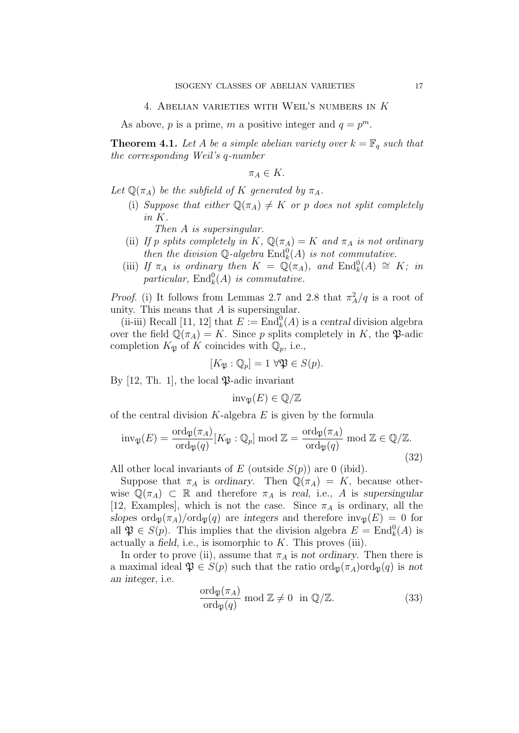As above, p is a prime, m a positive integer and  $q = p^m$ .

**Theorem 4.1.** Let A be a simple abelian variety over  $k = \mathbb{F}_q$  such that the corresponding Weil's q-number

 $\pi_A \in K$ .

Let  $\mathbb{Q}(\pi_A)$  be the subfield of K generated by  $\pi_A$ .

(i) Suppose that either  $\mathbb{Q}(\pi_A) \neq K$  or p does not split completely in K.

Then A is supersingular.

- (ii) If p splits completely in K,  $\mathbb{Q}(\pi_A) = K$  and  $\pi_A$  is not ordinary then the division  $\mathbb{Q}$ -algebra  $\text{End}_k^0(A)$  is not commutative.
- (iii) If  $\pi_A$  is ordinary then  $K = \mathbb{Q}(\pi_A)$ , and  $\text{End}_k^0(A) \cong K$ ; in particular,  $\text{End}_k^0(A)$  is commutative.

*Proof.* (i) It follows from Lemmas 2.7 and 2.8 that  $\pi_A^2/q$  is a root of unity. This means that  $A$  is supersingular.

(ii-iii) Recall [11, 12] that  $E := \text{End}_{k}^{0}(A)$  is a central division algebra over the field  $\mathbb{Q}(\pi_A) = K$ . Since p splits completely in K, the  $\mathfrak{P}$ -adic completion  $K_{\mathfrak{P}}$  of K coincides with  $\mathbb{Q}_p$ , i.e.,

$$
[K_{\mathfrak{P}}:\mathbb{Q}_p]=1\,\,\forall\mathfrak{P}\in S(p).
$$

By  $[12, Th. 1]$ , the local  $\mathfrak{P}\text{-}\mathsf{adic}$  invariant

$$
\mathrm{inv}_{\mathfrak{P}}(E) \in \mathbb{Q}/\mathbb{Z}
$$

of the central division  $K$ -algebra  $E$  is given by the formula

$$
\text{inv}_{\mathfrak{P}}(E) = \frac{\text{ord}_{\mathfrak{P}}(\pi_A)}{\text{ord}_{\mathfrak{P}}(q)} [K_{\mathfrak{P}} : \mathbb{Q}_p] \text{ mod } \mathbb{Z} = \frac{\text{ord}_{\mathfrak{P}}(\pi_A)}{\text{ord}_{\mathfrak{P}}(q)} \text{ mod } \mathbb{Z} \in \mathbb{Q}/\mathbb{Z}.
$$
\n(32)

All other local invariants of E (outside  $S(p)$ ) are 0 (ibid).

Suppose that  $\pi_A$  is ordinary. Then  $\mathbb{Q}(\pi_A) = K$ , because otherwise  $\mathbb{Q}(\pi_A) \subset \mathbb{R}$  and therefore  $\pi_A$  is real, i.e., A is supersingular [12, Examples], which is not the case. Since  $\pi_A$  is ordinary, all the slopes  $\text{ord}_{\mathfrak{P}}(\pi_A)/\text{ord}_{\mathfrak{P}}(q)$  are integers and therefore  $\text{inv}_{\mathfrak{P}}(E) = 0$  for all  $\mathfrak{P} \in S(p)$ . This implies that the division algebra  $E = \text{End}_{k}^{0}(A)$  is actually a field, i.e., is isomorphic to  $K$ . This proves (iii).

In order to prove (ii), assume that  $\pi_A$  is not ordinary. Then there is a maximal ideal  $\mathfrak{P} \in S(p)$  such that the ratio  $\text{ord}_{\mathfrak{B}}(\pi_A)\text{ord}_{\mathfrak{B}}(q)$  is not an integer, i.e.

$$
\frac{\text{ord}_{\mathfrak{P}}(\pi_A)}{\text{ord}_{\mathfrak{P}}(q)} \text{ mod } \mathbb{Z} \neq 0 \text{ in } \mathbb{Q}/\mathbb{Z}.
$$
 (33)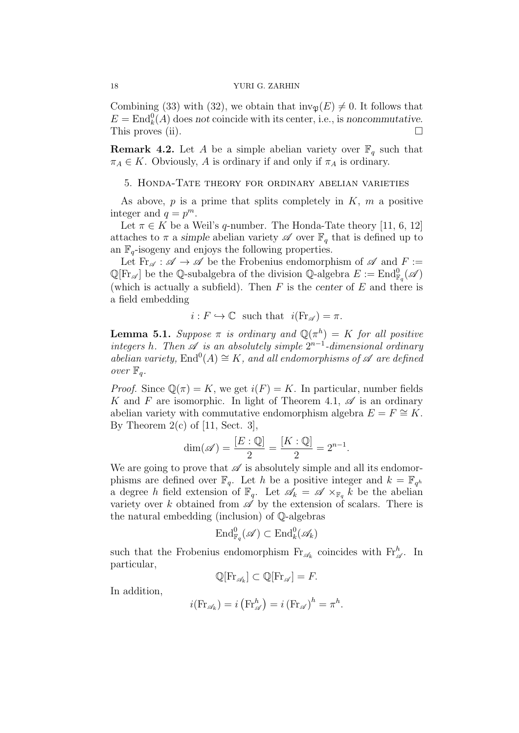Combining (33) with (32), we obtain that  $inv_{\mathfrak{B}}(E) \neq 0$ . It follows that  $E = \text{End}_{k}^{0}(A)$  does not coincide with its center, i.e., is noncommutative. This proves (ii).  $\Box$ 

**Remark 4.2.** Let A be a simple abelian variety over  $\mathbb{F}_q$  such that  $\pi_A \in K$ . Obviously, A is ordinary if and only if  $\pi_A$  is ordinary.

# 5. Honda-Tate theory for ordinary abelian varieties

As above,  $p$  is a prime that splits completely in  $K$ ,  $m$  a positive integer and  $q = p^m$ .

Let  $\pi \in K$  be a Weil's q-number. The Honda-Tate theory [11, 6, 12] attaches to  $\pi$  a simple abelian variety  $\mathscr A$  over  $\mathbb F_q$  that is defined up to an  $\mathbb{F}_q$ -isogeny and enjoys the following properties.

Let  $\text{Fr}_{\mathscr{A}} : \mathscr{A} \to \mathscr{A}$  be the Frobenius endomorphism of  $\mathscr{A}$  and  $F :=$  $\mathbb{Q}[\mathrm{Fr}_{\mathscr{A}}]$  be the Q-subalgebra of the division Q-algebra  $E := \mathrm{End}^0_{\mathbb{F}_q}(\mathscr{A})$ (which is actually a subfield). Then  $F$  is the center of  $E$  and there is a field embedding

$$
i: F \hookrightarrow \mathbb{C}
$$
 such that  $i(\text{Fr}_{\mathscr{A}}) = \pi$ .

**Lemma 5.1.** Suppose  $\pi$  is ordinary and  $\mathbb{Q}(\pi^h) = K$  for all positive integers h. Then  $\mathscr A$  is an absolutely simple  $2^{n-1}$ -dimensional ordinary abelian variety,  $\text{End}^0(A) \cong K$ , and all endomorphisms of  $\mathscr A$  are defined over  $\mathbb{F}_q$ .

*Proof.* Since  $\mathbb{Q}(\pi) = K$ , we get  $i(F) = K$ . In particular, number fields K and F are isomorphic. In light of Theorem 4.1,  $\mathscr A$  is an ordinary abelian variety with commutative endomorphism algebra  $E = F \cong K$ . By Theorem  $2(c)$  of [11, Sect. 3],

$$
\dim(\mathscr{A}) = \frac{[E:\mathbb{Q}]}{2} = \frac{[K:\mathbb{Q}]}{2} = 2^{n-1}.
$$

We are going to prove that  $\mathscr A$  is absolutely simple and all its endomorphisms are defined over  $\mathbb{F}_q$ . Let h be a positive integer and  $k = \mathbb{F}_{q^h}$ a degree h field extension of  $\mathbb{F}_q$ . Let  $\mathscr{A}_k = \mathscr{A} \times_{\mathbb{F}_q} k$  be the abelian variety over k obtained from  $\mathscr A$  by the extension of scalars. There is the natural embedding (inclusion) of Q-algebras

$$
\operatorname{End}_{\mathbb{F}_q}^0(\mathscr{A}) \subset \operatorname{End}_k^0(\mathscr{A}_k)
$$

such that the Frobenius endomorphism  $\mathrm{Fr}_{\mathscr{A}_k}$  coincides with  $\mathrm{Fr}_{\mathscr{A}}^h$ . In particular,

$$
\mathbb{Q}[\mathrm{Fr}_{\mathscr{A}_k}] \subset \mathbb{Q}[\mathrm{Fr}_{\mathscr{A}}] = F.
$$

In addition,

$$
i(\operatorname{Fr}_{\mathscr{A}_k}) = i(\operatorname{Fr}_{\mathscr{A}}^h) = i(\operatorname{Fr}_{\mathscr{A}})^h = \pi^h.
$$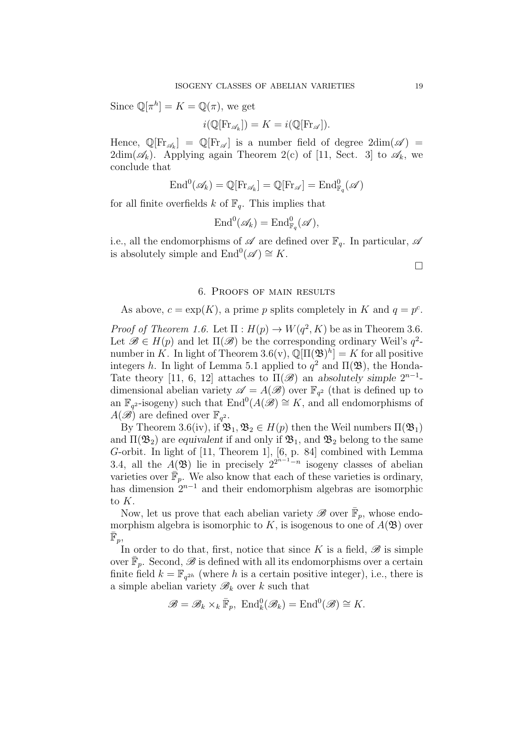Since  $\mathbb{Q}[\pi^h] = K = \mathbb{Q}(\pi)$ , we get

$$
i(\mathbb{Q}[\mathrm{Fr}_{\mathscr{A}_k}]) = K = i(\mathbb{Q}[\mathrm{Fr}_{\mathscr{A}}]).
$$

Hence,  $\mathbb{Q}[\mathrm{Fr}_{\mathscr{A}_k}] = \mathbb{Q}[\mathrm{Fr}_{\mathscr{A}}]$  is a number field of degree  $2dim(\mathscr{A}) =$  $2dim(\mathscr{A}_k)$ . Applying again Theorem  $2(c)$  of [11, Sect. 3] to  $\mathscr{A}_k$ , we conclude that

$$
\mathrm{End}^0(\mathscr{A}_k)=\mathbb{Q}[\mathrm{Fr}_{\mathscr{A}_k}]=\mathbb{Q}[\mathrm{Fr}_{\mathscr{A}}]=\mathrm{End}^0_{\mathbb{F}_q}(\mathscr{A})
$$

for all finite overfields k of  $\mathbb{F}_q$ . This implies that

$$
\mathrm{End}^0(\mathscr{A}_k)=\mathrm{End}^0_{\mathbb{F}_q}(\mathscr{A}),
$$

i.e., all the endomorphisms of  $\mathscr A$  are defined over  $\mathbb F_q$ . In particular,  $\mathscr A$ is absolutely simple and  $\text{End}^0(\mathscr{A}) \cong K$ .

□

# 6. Proofs of main results

As above,  $c = \exp(K)$ , a prime p splits completely in K and  $q = p^c$ .

*Proof of Theorem 1.6.* Let  $\Pi : H(p) \to W(q^2, K)$  be as in Theorem 3.6. Let  $\mathscr{B} \in H(p)$  and let  $\Pi(\mathscr{B})$  be the corresponding ordinary Weil's  $q^2$ number in K. In light of Theorem 3.6(v),  $\mathbb{Q}[\Pi(\mathfrak{B})^h] = K$  for all positive integers h. In light of Lemma 5.1 applied to  $q^2$  and  $\Pi(\mathfrak{B})$ , the Honda-Tate theory [11, 6, 12] attaches to  $\Pi(\mathscr{B})$  an absolutely simple  $2^{n-1}$ dimensional abelian variety  $\mathscr{A} = A(\mathscr{B})$  over  $\mathbb{F}_{q^2}$  (that is defined up to an  $\mathbb{F}_{q^2}$ -isogeny) such that  $\text{End}^0(A(\mathscr{B}) \cong K$ , and all endomorphisms of  $A(\mathscr{B})$  are defined over  $\mathbb{F}_{q^2}$ .

By Theorem 3.6(iv), if  $\mathfrak{B}_1, \mathfrak{B}_2 \in H(p)$  then the Weil numbers  $\Pi(\mathfrak{B}_1)$ and  $\Pi(\mathfrak{B}_2)$  are equivalent if and only if  $\mathfrak{B}_1$ , and  $\mathfrak{B}_2$  belong to the same G-orbit. In light of [11, Theorem 1], [6, p. 84] combined with Lemma 3.4, all the  $A(\mathfrak{B})$  lie in precisely  $2^{2^{n-1}-n}$  isogeny classes of abelian varieties over  $\mathbb{F}_p$ . We also know that each of these varieties is ordinary, has dimension  $2^{n-1}$  and their endomorphism algebras are isomorphic to K.

Now, let us prove that each abelian variety  $\mathscr{B}$  over  $\overline{\mathbb{F}}_p$ , whose endomorphism algebra is isomorphic to K, is isogenous to one of  $A(\mathfrak{B})$  over  $\bar{\mathbb{F}}_p$ ,

In order to do that, first, notice that since K is a field,  $\mathscr B$  is simple over  $\bar{\mathbb{F}}_p$ . Second,  $\mathscr{B}$  is defined with all its endomorphisms over a certain finite field  $k = \mathbb{F}_{q^{2h}}$  (where h is a certain positive integer), i.e., there is a simple abelian variety  $\mathscr{B}_k$  over k such that

$$
\mathscr{B}=\mathscr{B}_k\times_k\bar{\mathbb{F}}_p,\ \mathrm{End}_k^0(\mathscr{B}_k)=\mathrm{End}^0(\mathscr{B})\cong K.
$$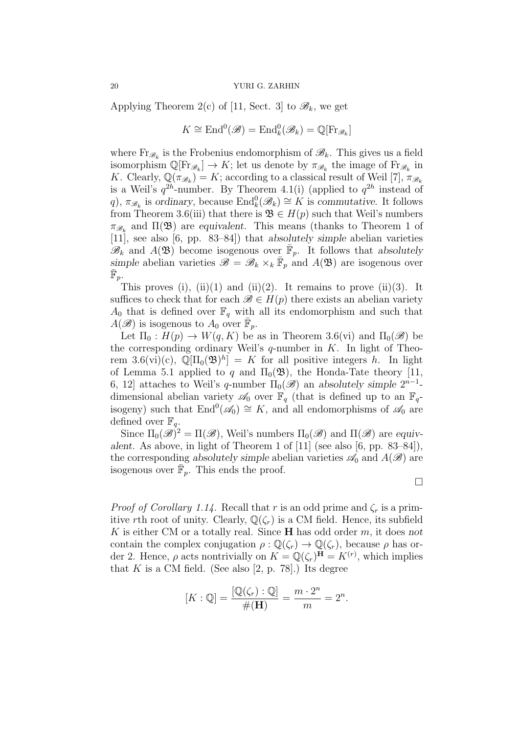Applying Theorem 2(c) of [11, Sect. 3] to  $\mathscr{B}_k$ , we get

$$
K \cong \mathrm{End}^0(\mathscr{B}) = \mathrm{End}_k^0(\mathscr{B}_k) = \mathbb{Q}[\mathrm{Fr}_{\mathscr{B}_k}]
$$

where  $\text{Fr}_{\mathscr{B}_k}$  is the Frobenius endomorphism of  $\mathscr{B}_k$ . This gives us a field isomorphism  $\mathbb{Q}[\mathrm{Fr}_{\mathscr{B}_k}] \to K$ ; let us denote by  $\pi_{\mathscr{B}_k}$  the image of  $\mathrm{Fr}_{\mathscr{B}_k}$  in K. Clearly,  $\mathbb{Q}(\pi_{\mathscr{B}_k}) = K$ ; according to a classical result of Weil [7],  $\pi_{\mathscr{B}_k}$ is a Weil's  $q^{2h}$ -number. By Theorem 4.1(i) (applied to  $q^{2h}$  instead of q),  $\pi_{\mathscr{B}_k}$  is ordinary, because  $\text{End}_k^0(\mathscr{B}_k) \cong K$  is commutative. It follows from Theorem 3.6(iii) that there is  $\mathfrak{B} \in H(p)$  such that Weil's numbers  $\pi_{\mathscr{B}_k}$  and  $\Pi(\mathfrak{B})$  are equivalent. This means (thanks to Theorem 1 of [11], see also [6, pp. 83–84]) that absolutely simple abelian varieties  $\mathscr{B}_k$  and  $A(\mathfrak{B})$  become isogenous over  $\bar{\mathbb{F}}_p$ . It follows that absolutely simple abelian varieties  $\mathscr{B} = \mathscr{B}_k \times_k \bar{\mathbb{F}}_p$  and  $A(\mathfrak{B})$  are isogenous over  $\bar{\mathbb{F}}_p$ .

This proves (i), (ii)(1) and (ii)(2). It remains to prove (ii)(3). It suffices to check that for each  $\mathscr{B} \in H(p)$  there exists an abelian variety  $A_0$  that is defined over  $\mathbb{F}_q$  with all its endomorphism and such that  $A(\mathscr{B})$  is isogenous to  $A_0$  over  $\overline{\mathbb{F}}_p$ .

Let  $\Pi_0 : H(p) \to W(q, K)$  be as in Theorem 3.6(vi) and  $\Pi_0(\mathscr{B})$  be the corresponding ordinary Weil's  $q$ -number in K. In light of Theorem 3.6(vi)(c),  $\mathbb{Q}[\Pi_0(\mathfrak{B})^h] = K$  for all positive integers h. In light of Lemma 5.1 applied to q and  $\Pi_0(\mathfrak{B})$ , the Honda-Tate theory [11, 6, 12] attaches to Weil's q-number  $\Pi_0(\mathscr{B})$  an absolutely simple  $2^{n-1}$ dimensional abelian variety  $\mathscr{A}_0$  over  $\mathbb{F}_q$  (that is defined up to an  $\mathbb{F}_q$ isogeny) such that  $\text{End}^0(\mathscr{A}_0) \cong K$ , and all endomorphisms of  $\mathscr{A}_0$  are defined over  $\mathbb{F}_q$ .

Since  $\Pi_0(\mathscr{B})^2 = \Pi(\mathscr{B})$ , Weil's numbers  $\Pi_0(\mathscr{B})$  and  $\Pi(\mathscr{B})$  are equivalent. As above, in light of Theorem 1 of [11] (see also [6, pp. 83–84]), the corresponding absolutely simple abelian varieties  $\mathscr{A}_0$  and  $A(\mathscr{B})$  are isogenous over  $\overline{\mathbb{F}_p}$ . This ends the proof.

□

*Proof of Corollary 1.14.* Recall that r is an odd prime and  $\zeta_r$  is a primitive rth root of unity. Clearly,  $\mathbb{Q}(\zeta_r)$  is a CM field. Hence, its subfield K is either CM or a totally real. Since **H** has odd order  $m$ , it does not contain the complex conjugation  $\rho : \mathbb{Q}(\zeta_r) \to \mathbb{Q}(\zeta_r)$ , because  $\rho$  has order 2. Hence,  $\rho$  acts nontrivially on  $K = \mathbb{Q}(\zeta_r)^{\mathbf{\bar{H}}} = K^{(r)}$ , which implies that  $K$  is a CM field. (See also [2, p. 78].) Its degree

$$
[K:\mathbb{Q}] = \frac{[\mathbb{Q}(\zeta_r):\mathbb{Q}]}{\#(\mathbf{H})} = \frac{m \cdot 2^n}{m} = 2^n.
$$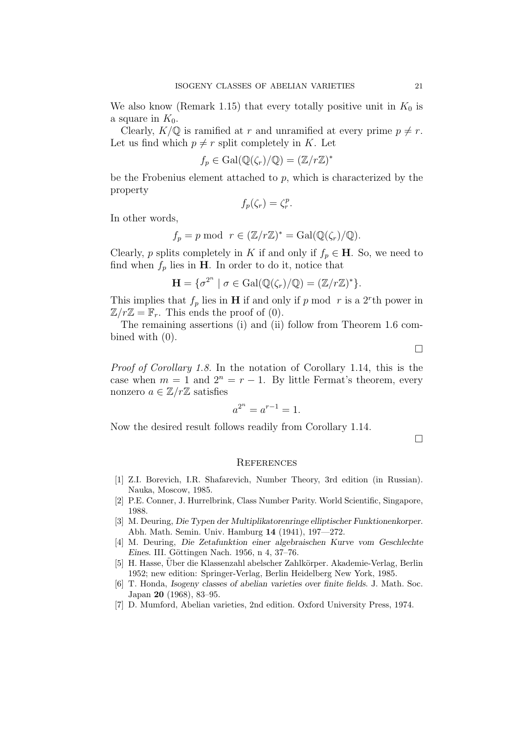We also know (Remark 1.15) that every totally positive unit in  $K_0$  is a square in  $K_0$ .

Clearly,  $K/\mathbb{Q}$  is ramified at r and unramified at every prime  $p \neq r$ . Let us find which  $p \neq r$  split completely in K. Let

$$
f_p \in \mathrm{Gal}(\mathbb{Q}(\zeta_r)/\mathbb{Q}) = (\mathbb{Z}/r\mathbb{Z})^*
$$

be the Frobenius element attached to  $p$ , which is characterized by the property

$$
f_p(\zeta_r) = \zeta_r^p.
$$

In other words,

$$
f_p = p \mod r \in (\mathbb{Z}/r\mathbb{Z})^* = \text{Gal}(\mathbb{Q}(\zeta_r)/\mathbb{Q}).
$$

Clearly, p splits completely in K if and only if  $f_p \in \mathbf{H}$ . So, we need to find when  $f_p$  lies in **H**. In order to do it, notice that

$$
\mathbf{H} = \{ \sigma^{2^n} \mid \sigma \in \mathrm{Gal}(\mathbb{Q}(\zeta_r)/\mathbb{Q}) = (\mathbb{Z}/r\mathbb{Z})^* \}.
$$

This implies that  $f_p$  lies in **H** if and only if p mod r is a 2<sup>r</sup>th power in  $\mathbb{Z}/r\mathbb{Z} = \mathbb{F}_r$ . This ends the proof of (0).

The remaining assertions (i) and (ii) follow from Theorem 1.6 combined with (0).

□

Proof of Corollary 1.8. In the notation of Corollary 1.14, this is the case when  $m = 1$  and  $2^n = r - 1$ . By little Fermat's theorem, every nonzero  $a \in \mathbb{Z}/r\mathbb{Z}$  satisfies

$$
a^{2^n} = a^{r-1} = 1.
$$

Now the desired result follows readily from Corollary 1.14.

□

#### **REFERENCES**

- [1] Z.I. Borevich, I.R. Shafarevich, Number Theory, 3rd edition (in Russian). Nauka, Moscow, 1985.
- [2] P.E. Conner, J. Hurrelbrink, Class Number Parity. World Scientific, Singapore, 1988.
- [3] M. Deuring, Die Typen der Multiplikatorenringe elliptischer Funktionenkorper. Abh. Math. Semin. Univ. Hamburg 14 (1941), 197—272.
- [4] M. Deuring, Die Zetafunktion einer algebraischen Kurve vom Geschlechte Eines. III. Göttingen Nach. 1956, n 4, 37–76.
- [5] H. Hasse, Über die Klassenzahl abelscher Zahlkörper. Akademie-Verlag, Berlin 1952; new edition: Springer-Verlag, Berlin Heidelberg New York, 1985.
- [6] T. Honda, Isogeny classes of abelian varieties over finite fields. J. Math. Soc. Japan 20 (1968), 83–95.
- [7] D. Mumford, Abelian varieties, 2nd edition. Oxford University Press, 1974.